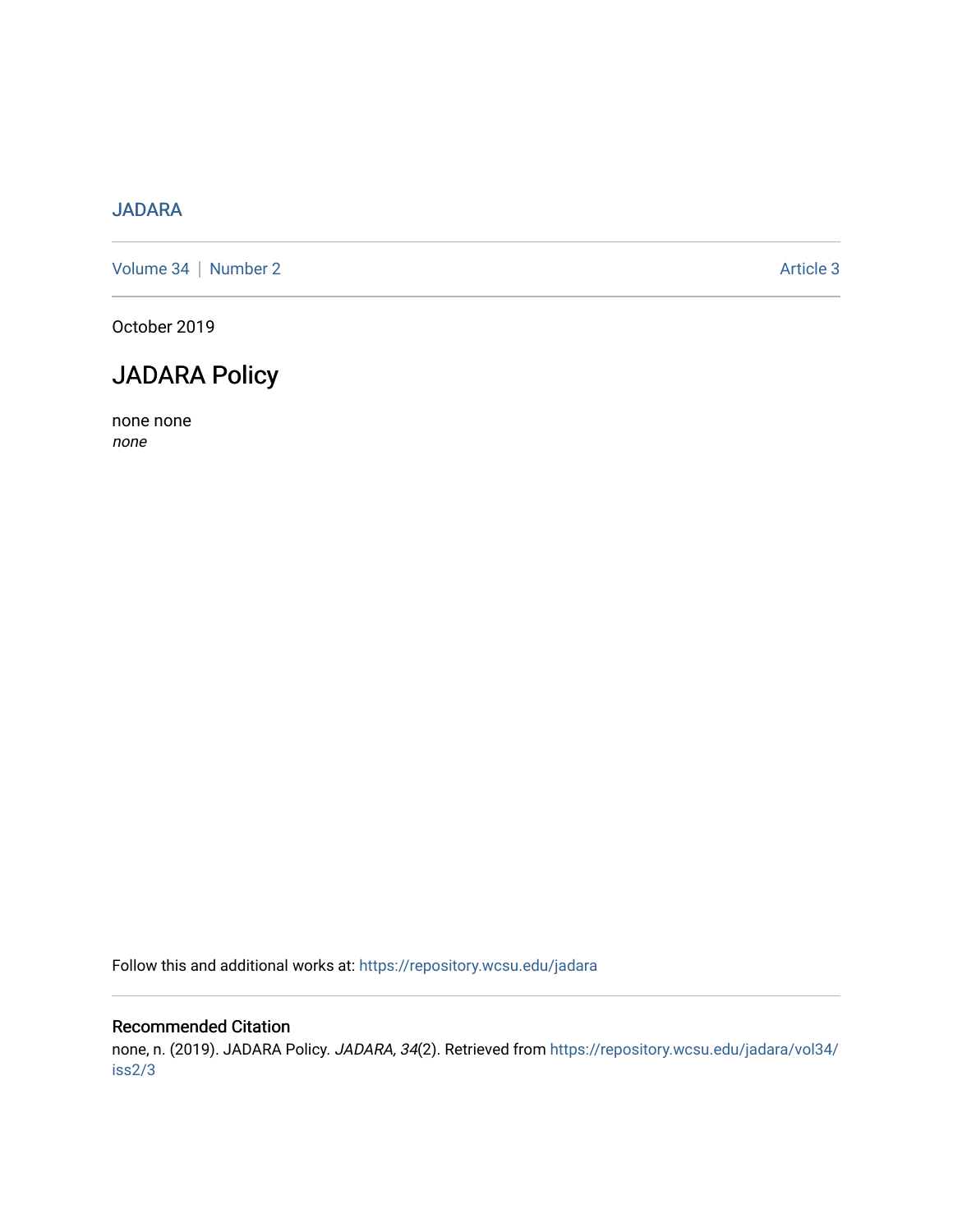## [JADARA](https://repository.wcsu.edu/jadara)

[Volume 34](https://repository.wcsu.edu/jadara/vol34) | [Number 2](https://repository.wcsu.edu/jadara/vol34/iss2) Article 3

October 2019

## JADARA Policy

none none none

Follow this and additional works at: [https://repository.wcsu.edu/jadara](https://repository.wcsu.edu/jadara?utm_source=repository.wcsu.edu%2Fjadara%2Fvol34%2Fiss2%2F3&utm_medium=PDF&utm_campaign=PDFCoverPages)

#### Recommended Citation

none, n. (2019). JADARA Policy. JADARA, 34(2). Retrieved from [https://repository.wcsu.edu/jadara/vol34/](https://repository.wcsu.edu/jadara/vol34/iss2/3?utm_source=repository.wcsu.edu%2Fjadara%2Fvol34%2Fiss2%2F3&utm_medium=PDF&utm_campaign=PDFCoverPages) [iss2/3](https://repository.wcsu.edu/jadara/vol34/iss2/3?utm_source=repository.wcsu.edu%2Fjadara%2Fvol34%2Fiss2%2F3&utm_medium=PDF&utm_campaign=PDFCoverPages)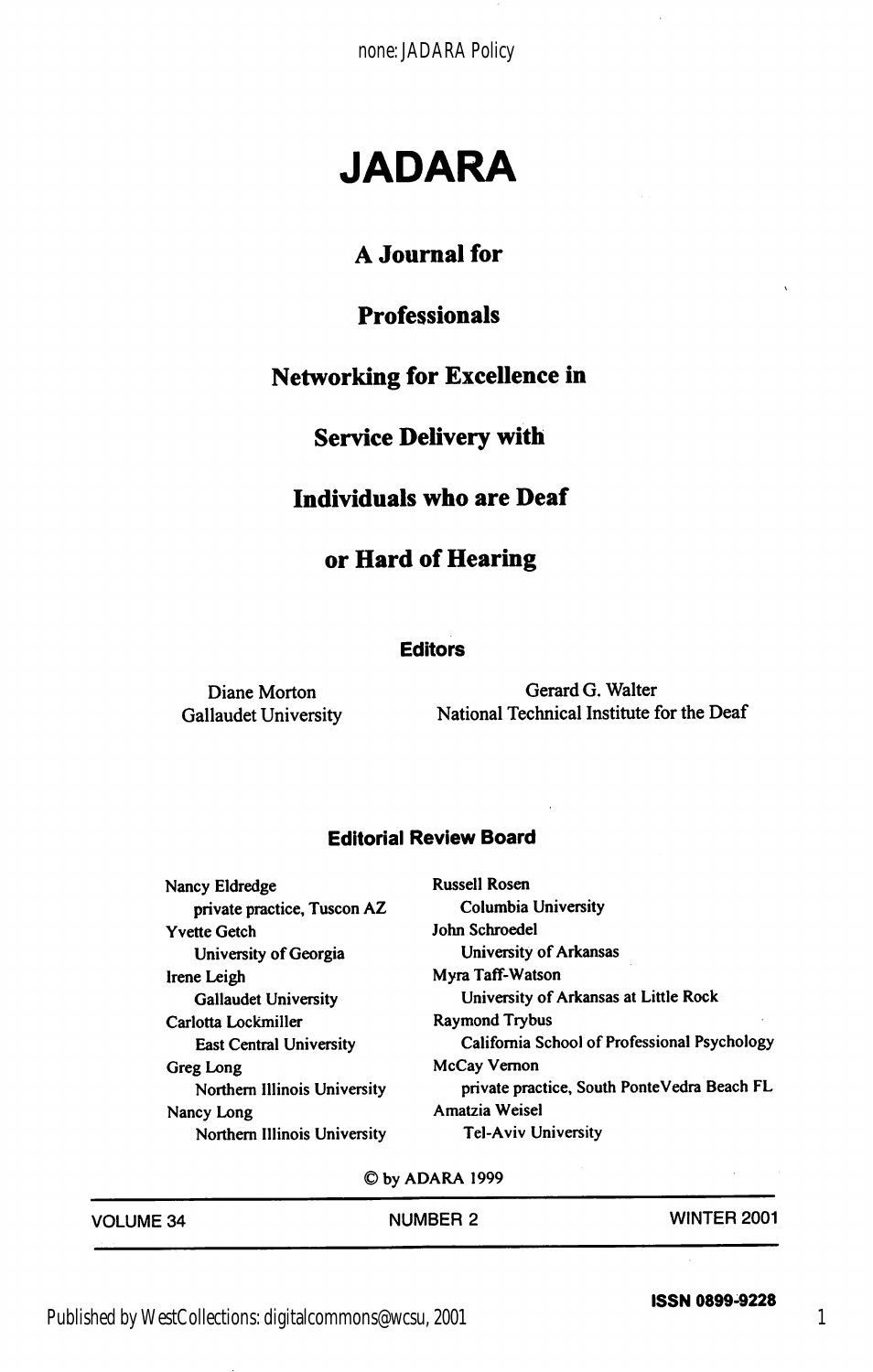none: JADARA Policy

# JADARA

#### A Journal for

## Professionals

#### Networking for Excellence in

#### Service Delivery with

#### Individuals who are Deaf

#### or Hard of Hearing

#### **Editors**

Diane Morton Gerard G. Walter<br>Gallaudet University National Technical Institute f National Technical Institute for the Deaf

#### Editorial Review Board

| Nancy Eldredge                 | <b>Russell Rosen</b>                         |
|--------------------------------|----------------------------------------------|
| private practice, Tuscon AZ    | Columbia University                          |
| <b>Yvette Getch</b>            | John Schroedel                               |
| University of Georgia          | University of Arkansas                       |
| Irene Leigh                    | Myra Taff-Watson                             |
| <b>Gallaudet University</b>    | University of Arkansas at Little Rock        |
| Carlotta Lockmiller            | <b>Raymond Trybus</b>                        |
| <b>East Central University</b> | California School of Professional Psychology |
| Greg Long                      | McCay Vernon                                 |
| Northern Illinois University   | private practice, South PonteVedra Beach FL  |
| Nancy Long                     | Amatzia Weisel                               |
| Northern Illinois University   | <b>Tel-Aviv University</b>                   |

©byADARA1999

| <b>VOLUME 34</b> | <b>NUMBER 2</b> | <b>WINTER 2001</b> |
|------------------|-----------------|--------------------|
|                  |                 |                    |

ISSN 0899-9228